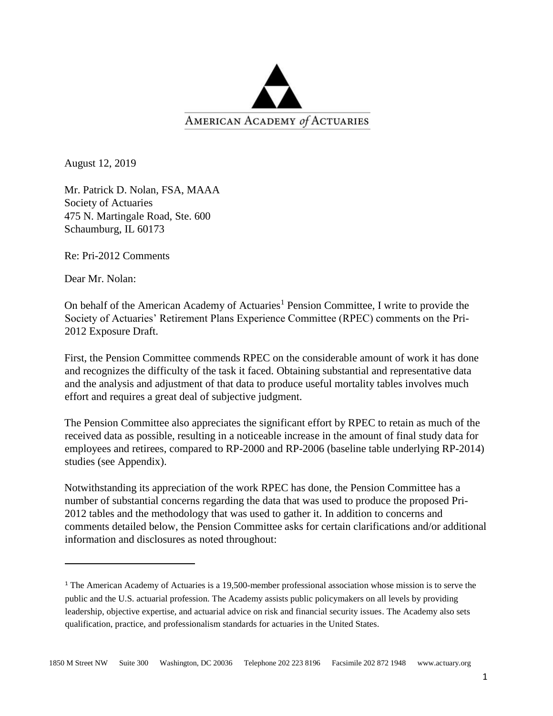

August 12, 2019

Mr. Patrick D. Nolan, FSA, MAAA Society of Actuaries 475 N. Martingale Road, Ste. 600 Schaumburg, IL 60173

Re: Pri-2012 Comments

Dear Mr. Nolan:

On behalf of the American Academy of Actuaries<sup>1</sup> Pension Committee, I write to provide the Society of Actuaries' Retirement Plans Experience Committee (RPEC) comments on the Pri-2012 Exposure Draft.

First, the Pension Committee commends RPEC on the considerable amount of work it has done and recognizes the difficulty of the task it faced. Obtaining substantial and representative data and the analysis and adjustment of that data to produce useful mortality tables involves much effort and requires a great deal of subjective judgment.

The Pension Committee also appreciates the significant effort by RPEC to retain as much of the received data as possible, resulting in a noticeable increase in the amount of final study data for employees and retirees, compared to RP-2000 and RP-2006 (baseline table underlying RP-2014) studies (see Appendix).

Notwithstanding its appreciation of the work RPEC has done, the Pension Committee has a number of substantial concerns regarding the data that was used to produce the proposed Pri-2012 tables and the methodology that was used to gather it. In addition to concerns and comments detailed below, the Pension Committee asks for certain clarifications and/or additional information and disclosures as noted throughout:

<sup>&</sup>lt;sup>1</sup> The American Academy of Actuaries is a 19,500-member professional association whose mission is to serve the public and the U.S. actuarial profession. The Academy assists public policymakers on all levels by providing leadership, objective expertise, and actuarial advice on risk and financial security issues. The Academy also sets qualification, practice, and professionalism standards for actuaries in the United States.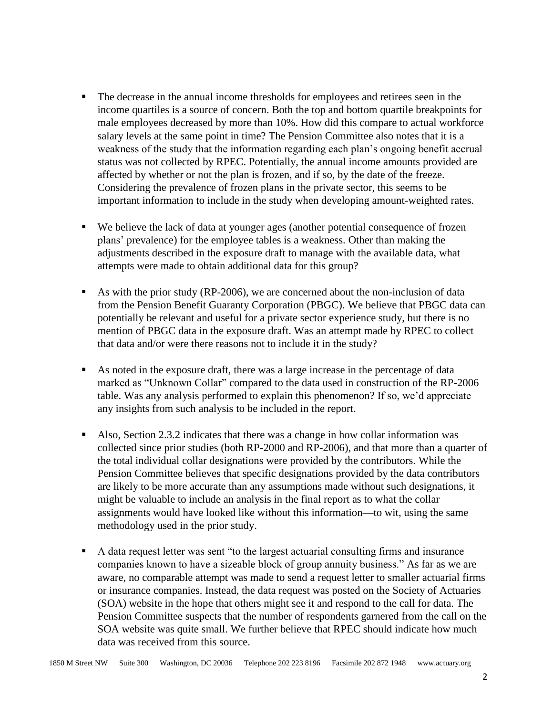- The decrease in the annual income thresholds for employees and retirees seen in the income quartiles is a source of concern. Both the top and bottom quartile breakpoints for male employees decreased by more than 10%. How did this compare to actual workforce salary levels at the same point in time? The Pension Committee also notes that it is a weakness of the study that the information regarding each plan's ongoing benefit accrual status was not collected by RPEC. Potentially, the annual income amounts provided are affected by whether or not the plan is frozen, and if so, by the date of the freeze. Considering the prevalence of frozen plans in the private sector, this seems to be important information to include in the study when developing amount-weighted rates.
- We believe the lack of data at younger ages (another potential consequence of frozen plans' prevalence) for the employee tables is a weakness. Other than making the adjustments described in the exposure draft to manage with the available data, what attempts were made to obtain additional data for this group?
- $\blacksquare$  As with the prior study (RP-2006), we are concerned about the non-inclusion of data from the Pension Benefit Guaranty Corporation (PBGC). We believe that PBGC data can potentially be relevant and useful for a private sector experience study, but there is no mention of PBGC data in the exposure draft. Was an attempt made by RPEC to collect that data and/or were there reasons not to include it in the study?
- As noted in the exposure draft, there was a large increase in the percentage of data marked as "Unknown Collar" compared to the data used in construction of the RP-2006 table. Was any analysis performed to explain this phenomenon? If so, we'd appreciate any insights from such analysis to be included in the report.
- Also, Section 2.3.2 indicates that there was a change in how collar information was collected since prior studies (both RP-2000 and RP-2006), and that more than a quarter of the total individual collar designations were provided by the contributors. While the Pension Committee believes that specific designations provided by the data contributors are likely to be more accurate than any assumptions made without such designations, it might be valuable to include an analysis in the final report as to what the collar assignments would have looked like without this information—to wit, using the same methodology used in the prior study.
- A data request letter was sent "to the largest actuarial consulting firms and insurance companies known to have a sizeable block of group annuity business." As far as we are aware, no comparable attempt was made to send a request letter to smaller actuarial firms or insurance companies. Instead, the data request was posted on the Society of Actuaries (SOA) website in the hope that others might see it and respond to the call for data. The Pension Committee suspects that the number of respondents garnered from the call on the SOA website was quite small. We further believe that RPEC should indicate how much data was received from this source.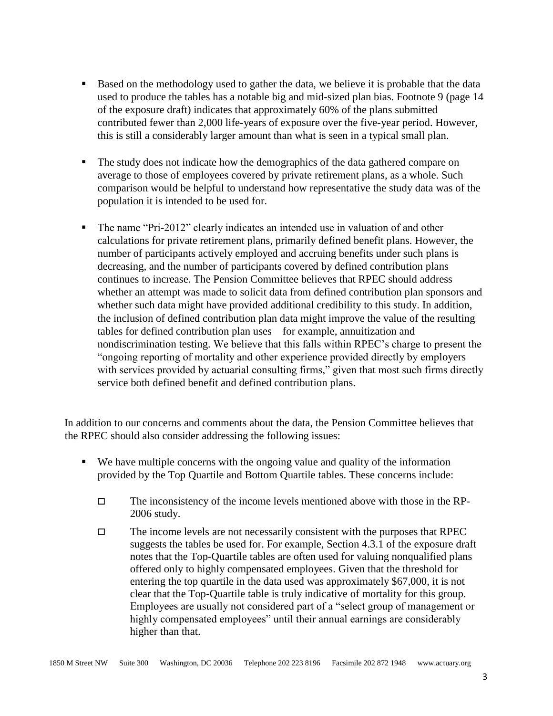- Based on the methodology used to gather the data, we believe it is probable that the data used to produce the tables has a notable big and mid-sized plan bias. Footnote 9 (page 14 of the exposure draft) indicates that approximately 60% of the plans submitted contributed fewer than 2,000 life-years of exposure over the five-year period. However, this is still a considerably larger amount than what is seen in a typical small plan.
- The study does not indicate how the demographics of the data gathered compare on average to those of employees covered by private retirement plans, as a whole. Such comparison would be helpful to understand how representative the study data was of the population it is intended to be used for.
- The name "Pri-2012" clearly indicates an intended use in valuation of and other calculations for private retirement plans, primarily defined benefit plans. However, the number of participants actively employed and accruing benefits under such plans is decreasing, and the number of participants covered by defined contribution plans continues to increase. The Pension Committee believes that RPEC should address whether an attempt was made to solicit data from defined contribution plan sponsors and whether such data might have provided additional credibility to this study. In addition, the inclusion of defined contribution plan data might improve the value of the resulting tables for defined contribution plan uses—for example, annuitization and nondiscrimination testing. We believe that this falls within RPEC's charge to present the "ongoing reporting of mortality and other experience provided directly by employers with services provided by actuarial consulting firms," given that most such firms directly service both defined benefit and defined contribution plans.

In addition to our concerns and comments about the data, the Pension Committee believes that the RPEC should also consider addressing the following issues:

- We have multiple concerns with the ongoing value and quality of the information provided by the Top Quartile and Bottom Quartile tables. These concerns include:
	- $\Box$  The inconsistency of the income levels mentioned above with those in the RP-2006 study.
	- $\Box$  The income levels are not necessarily consistent with the purposes that RPEC suggests the tables be used for. For example, Section 4.3.1 of the exposure draft notes that the Top-Quartile tables are often used for valuing nonqualified plans offered only to highly compensated employees. Given that the threshold for entering the top quartile in the data used was approximately \$67,000, it is not clear that the Top-Quartile table is truly indicative of mortality for this group. Employees are usually not considered part of a "select group of management or highly compensated employees" until their annual earnings are considerably higher than that.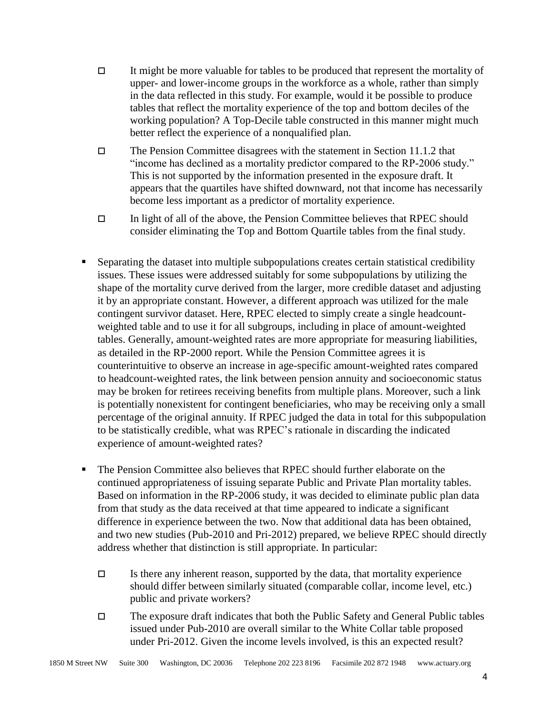- It might be more valuable for tables to be produced that represent the mortality of upper- and lower-income groups in the workforce as a whole, rather than simply in the data reflected in this study. For example, would it be possible to produce tables that reflect the mortality experience of the top and bottom deciles of the working population? A Top-Decile table constructed in this manner might much better reflect the experience of a nonqualified plan.
- $\Box$  The Pension Committee disagrees with the statement in Section 11.1.2 that "income has declined as a mortality predictor compared to the RP-2006 study." This is not supported by the information presented in the exposure draft. It appears that the quartiles have shifted downward, not that income has necessarily become less important as a predictor of mortality experience.
- $\Box$  In light of all of the above, the Pension Committee believes that RPEC should consider eliminating the Top and Bottom Quartile tables from the final study.
- Separating the dataset into multiple subpopulations creates certain statistical credibility issues. These issues were addressed suitably for some subpopulations by utilizing the shape of the mortality curve derived from the larger, more credible dataset and adjusting it by an appropriate constant. However, a different approach was utilized for the male contingent survivor dataset. Here, RPEC elected to simply create a single headcountweighted table and to use it for all subgroups, including in place of amount-weighted tables. Generally, amount-weighted rates are more appropriate for measuring liabilities, as detailed in the RP-2000 report. While the Pension Committee agrees it is counterintuitive to observe an increase in age-specific amount-weighted rates compared to headcount-weighted rates, the link between pension annuity and socioeconomic status may be broken for retirees receiving benefits from multiple plans. Moreover, such a link is potentially nonexistent for contingent beneficiaries, who may be receiving only a small percentage of the original annuity. If RPEC judged the data in total for this subpopulation to be statistically credible, what was RPEC's rationale in discarding the indicated experience of amount-weighted rates?
- The Pension Committee also believes that RPEC should further elaborate on the continued appropriateness of issuing separate Public and Private Plan mortality tables. Based on information in the RP-2006 study, it was decided to eliminate public plan data from that study as the data received at that time appeared to indicate a significant difference in experience between the two. Now that additional data has been obtained, and two new studies (Pub-2010 and Pri-2012) prepared, we believe RPEC should directly address whether that distinction is still appropriate. In particular:
	- $\Box$  Is there any inherent reason, supported by the data, that mortality experience should differ between similarly situated (comparable collar, income level, etc.) public and private workers?
	- The exposure draft indicates that both the Public Safety and General Public tables issued under Pub-2010 are overall similar to the White Collar table proposed under Pri-2012. Given the income levels involved, is this an expected result?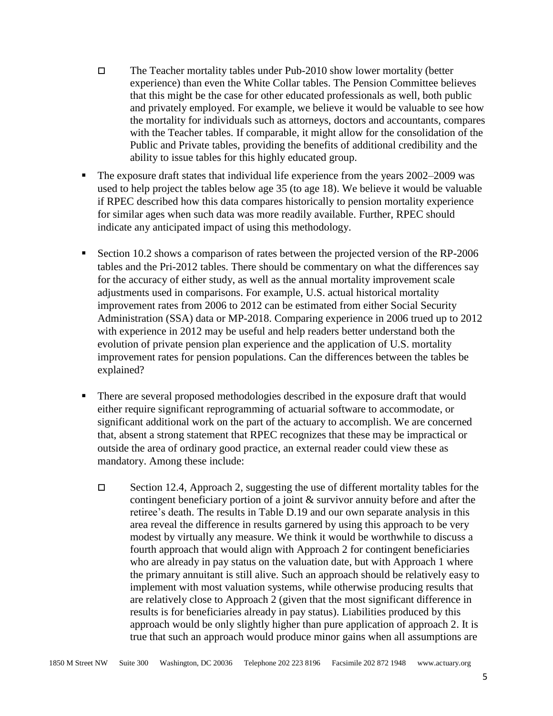- The Teacher mortality tables under Pub-2010 show lower mortality (better experience) than even the White Collar tables. The Pension Committee believes that this might be the case for other educated professionals as well, both public and privately employed. For example, we believe it would be valuable to see how the mortality for individuals such as attorneys, doctors and accountants, compares with the Teacher tables. If comparable, it might allow for the consolidation of the Public and Private tables, providing the benefits of additional credibility and the ability to issue tables for this highly educated group.
- The exposure draft states that individual life experience from the years 2002–2009 was used to help project the tables below age 35 (to age 18). We believe it would be valuable if RPEC described how this data compares historically to pension mortality experience for similar ages when such data was more readily available. Further, RPEC should indicate any anticipated impact of using this methodology.
- Section 10.2 shows a comparison of rates between the projected version of the RP-2006 tables and the Pri-2012 tables. There should be commentary on what the differences say for the accuracy of either study, as well as the annual mortality improvement scale adjustments used in comparisons. For example, U.S. actual historical mortality improvement rates from 2006 to 2012 can be estimated from either Social Security Administration (SSA) data or MP-2018. Comparing experience in 2006 trued up to 2012 with experience in 2012 may be useful and help readers better understand both the evolution of private pension plan experience and the application of U.S. mortality improvement rates for pension populations. Can the differences between the tables be explained?
- There are several proposed methodologies described in the exposure draft that would either require significant reprogramming of actuarial software to accommodate, or significant additional work on the part of the actuary to accomplish. We are concerned that, absent a strong statement that RPEC recognizes that these may be impractical or outside the area of ordinary good practice, an external reader could view these as mandatory. Among these include:
	- $\Box$  Section 12.4, Approach 2, suggesting the use of different mortality tables for the contingent beneficiary portion of a joint & survivor annuity before and after the retiree's death. The results in Table D.19 and our own separate analysis in this area reveal the difference in results garnered by using this approach to be very modest by virtually any measure. We think it would be worthwhile to discuss a fourth approach that would align with Approach 2 for contingent beneficiaries who are already in pay status on the valuation date, but with Approach 1 where the primary annuitant is still alive. Such an approach should be relatively easy to implement with most valuation systems, while otherwise producing results that are relatively close to Approach 2 (given that the most significant difference in results is for beneficiaries already in pay status). Liabilities produced by this approach would be only slightly higher than pure application of approach 2. It is true that such an approach would produce minor gains when all assumptions are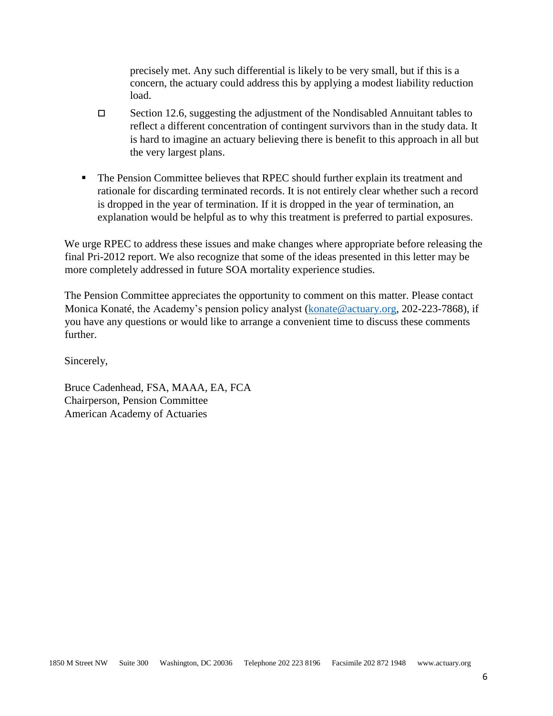precisely met. Any such differential is likely to be very small, but if this is a concern, the actuary could address this by applying a modest liability reduction load.

- $\Box$  Section 12.6, suggesting the adjustment of the Nondisabled Annuitant tables to reflect a different concentration of contingent survivors than in the study data. It is hard to imagine an actuary believing there is benefit to this approach in all but the very largest plans.
- The Pension Committee believes that RPEC should further explain its treatment and rationale for discarding terminated records. It is not entirely clear whether such a record is dropped in the year of termination. If it is dropped in the year of termination, an explanation would be helpful as to why this treatment is preferred to partial exposures.

We urge RPEC to address these issues and make changes where appropriate before releasing the final Pri-2012 report. We also recognize that some of the ideas presented in this letter may be more completely addressed in future SOA mortality experience studies.

The Pension Committee appreciates the opportunity to comment on this matter. Please contact Monica Konaté, the Academy's pension policy analyst [\(konate@actuary.org,](mailto:konate@actuary.org) 202-223-7868), if you have any questions or would like to arrange a convenient time to discuss these comments further.

Sincerely,

Bruce Cadenhead, FSA, MAAA, EA, FCA Chairperson, Pension Committee American Academy of Actuaries